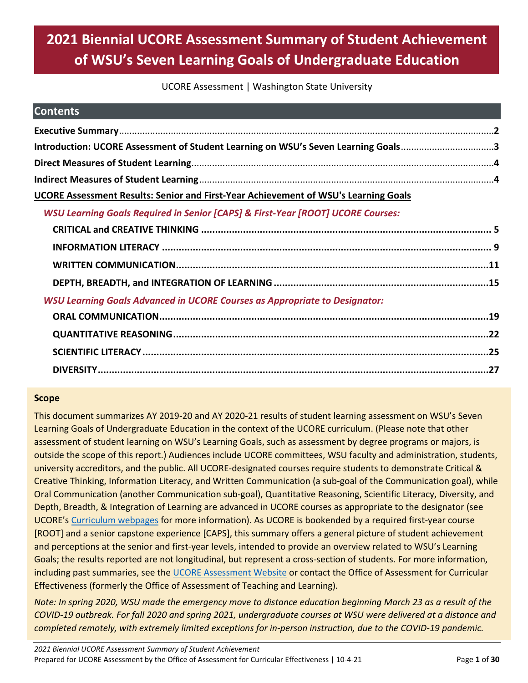# **2021 Biennial UCORE Assessment Summary of Student Achievement of WSU's Seven Learning Goals of Undergraduate Education**

### UCORE Assessment | Washington State University

| <b>Contents</b>                                                                            |  |
|--------------------------------------------------------------------------------------------|--|
|                                                                                            |  |
| Introduction: UCORE Assessment of Student Learning on WSU's Seven Learning Goals3          |  |
|                                                                                            |  |
|                                                                                            |  |
| UCORE Assessment Results: Senior and First-Year Achievement of WSU's Learning Goals        |  |
| <b>WSU Learning Goals Required in Senior [CAPS] &amp; First-Year [ROOT] UCORE Courses:</b> |  |
|                                                                                            |  |
|                                                                                            |  |
|                                                                                            |  |
|                                                                                            |  |
| <b>WSU Learning Goals Advanced in UCORE Courses as Appropriate to Designator:</b>          |  |
|                                                                                            |  |
|                                                                                            |  |

### **Scope**

This document summarizes AY 2019-20 and AY 2020-21 results of student learning assessment on WSU's Seven Learning Goals of Undergraduate Education in the context of the UCORE curriculum. (Please note that other assessment of student learning on WSU's Learning Goals, such as assessment by degree programs or majors, is outside the scope of this report.) Audiences include UCORE committees, WSU faculty and administration, students, university accreditors, and the public. All UCORE-designated courses require students to demonstrate Critical & Creative Thinking, Information Literacy, and Written Communication (a sub-goal of the Communication goal), while Oral Communication (another Communication sub-goal), Quantitative Reasoning, Scientific Literacy, Diversity, and Depth, Breadth, & Integration of Learning are advanced in UCORE courses as appropriate to the designator (see UCORE's [Curriculum webpages](https://ucore.wsu.edu/faculty/the-ucore-curriculum/) for more information). As UCORE is bookended by a required first-year course [ROOT] and a senior capstone experience [CAPS], this summary offers a general picture of student achievement and perceptions at the senior and first-year levels, intended to provide an overview related to WSU's Learning Goals; the results reported are not longitudinal, but represent a cross-section of students. For more information, including past summaries, see th[e UCORE Assessment Website](https://ucore.wsu.edu/assessment/) or contact the Office of Assessment for Curricular Effectiveness (formerly the Office of Assessment of Teaching and Learning).

*Note: In spring 2020, WSU made the emergency move to distance education beginning March 23 as a result of the COVID-19 outbreak. For fall 2020 and spring 2021, undergraduate courses at WSU were delivered at a distance and completed remotely, with extremely limited exceptions for in-person instruction, due to the COVID-19 pandemic.*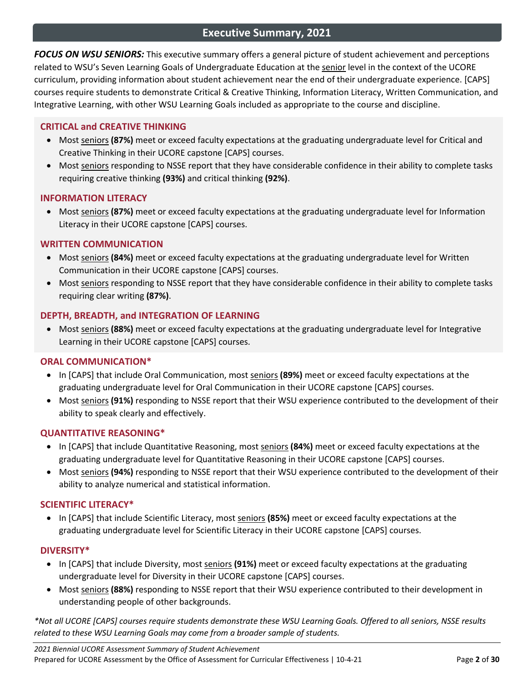# **Executive Summary, 2021**

<span id="page-1-0"></span>*FOCUS ON WSU SENIORS:* This executive summary offers a general picture of student achievement and perceptions related to WSU's Seven Learning Goals of Undergraduate Education at the senior level in the context of the UCORE curriculum, providing information about student achievement near the end of their undergraduate experience. [CAPS] courses require students to demonstrate Critical & Creative Thinking, Information Literacy, Written Communication, and Integrative Learning, with other WSU Learning Goals included as appropriate to the course and discipline.

### **CRITICAL and CREATIVE THINKING**

- Most seniors **(87%)** meet or exceed faculty expectations at the graduating undergraduate level for Critical and Creative Thinking in their UCORE capstone [CAPS] courses.
- Most seniors responding to NSSE report that they have considerable confidence in their ability to complete tasks requiring creative thinking **(93%)** and critical thinking **(92%)**.

### **INFORMATION LITERACY**

• Most seniors **(87%)** meet or exceed faculty expectations at the graduating undergraduate level for Information Literacy in their UCORE capstone [CAPS] courses.

### **WRITTEN COMMUNICATION**

- Most seniors **(84%)** meet or exceed faculty expectations at the graduating undergraduate level for Written Communication in their UCORE capstone [CAPS] courses.
- Most seniors responding to NSSE report that they have considerable confidence in their ability to complete tasks requiring clear writing **(87%)**.

### **DEPTH, BREADTH, and INTEGRATION OF LEARNING**

• Most seniors **(88%)** meet or exceed faculty expectations at the graduating undergraduate level for Integrative Learning in their UCORE capstone [CAPS] courses.

### **ORAL COMMUNICATION\***

- In [CAPS] that include Oral Communication, most seniors **(89%)** meet or exceed faculty expectations at the graduating undergraduate level for Oral Communication in their UCORE capstone [CAPS] courses.
- Most seniors **(91%)** responding to NSSE report that their WSU experience contributed to the development of their ability to speak clearly and effectively.

### **QUANTITATIVE REASONING\***

- In [CAPS] that include Quantitative Reasoning, most seniors **(84%)** meet or exceed faculty expectations at the graduating undergraduate level for Quantitative Reasoning in their UCORE capstone [CAPS] courses.
- Most seniors **(94%)** responding to NSSE report that their WSU experience contributed to the development of their ability to analyze numerical and statistical information.

### **SCIENTIFIC LITERACY\***

• In [CAPS] that include Scientific Literacy, most seniors **(85%)** meet or exceed faculty expectations at the graduating undergraduate level for Scientific Literacy in their UCORE capstone [CAPS] courses.

### **DIVERSITY\***

- In [CAPS] that include Diversity, most seniors **(91%)** meet or exceed faculty expectations at the graduating undergraduate level for Diversity in their UCORE capstone [CAPS] courses.
- Most seniors **(88%)** responding to NSSE report that their WSU experience contributed to their development in understanding people of other backgrounds.

*\*Not all UCORE [CAPS] courses require students demonstrate these WSU Learning Goals. Offered to all seniors, NSSE results related to these WSU Learning Goals may come from a broader sample of students.*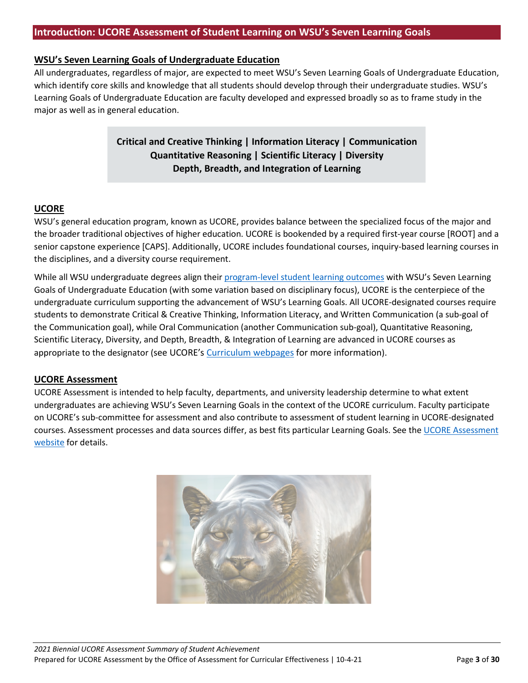### <span id="page-2-0"></span>**WSU's Seven Learning Goals of Undergraduate Education**

All undergraduates, regardless of major, are expected to meet WSU's Seven Learning Goals of Undergraduate Education, which identify core skills and knowledge that all students should develop through their undergraduate studies. WSU's Learning Goals of Undergraduate Education are faculty developed and expressed broadly so as to frame study in the major as well as in general education.

# **Critical and Creative Thinking | Information Literacy | Communication Quantitative Reasoning | Scientific Literacy | Diversity Depth, Breadth, and Integration of Learning**

### **UCORE**

WSU's general education program, known as UCORE, provides balance between the specialized focus of the major and the broader traditional objectives of higher education. UCORE is bookended by a required first-year course [ROOT] and a senior capstone experience [CAPS]. Additionally, UCORE includes foundational courses, inquiry-based learning courses in the disciplines, and a diversity course requirement.

While all WSU undergraduate degrees align their [program-level student learning outcomes](https://ace.wsu.edu/student-learning-outcomes/) with WSU's Seven Learning Goals of Undergraduate Education (with some variation based on disciplinary focus), UCORE is the centerpiece of the undergraduate curriculum supporting the advancement of WSU's Learning Goals. All UCORE-designated courses require students to demonstrate Critical & Creative Thinking, Information Literacy, and Written Communication (a sub-goal of the Communication goal), while Oral Communication (another Communication sub-goal), Quantitative Reasoning, Scientific Literacy, Diversity, and Depth, Breadth, & Integration of Learning are advanced in UCORE courses as appropriate to the designator (see UCORE's [Curriculum webpages](https://ucore.wsu.edu/faculty/the-ucore-curriculum/) for more information).

### **UCORE Assessment**

UCORE Assessment is intended to help faculty, departments, and university leadership determine to what extent undergraduates are achieving WSU's Seven Learning Goals in the context of the UCORE curriculum. Faculty participate on UCORE's sub-committee for assessment and also contribute to assessment of student learning in UCORE-designated courses. Assessment processes and data sources differ, as best fits particular Learning Goals. See the UCORE Assessment [website](https://ucore.wsu.edu/assessment/) for details.

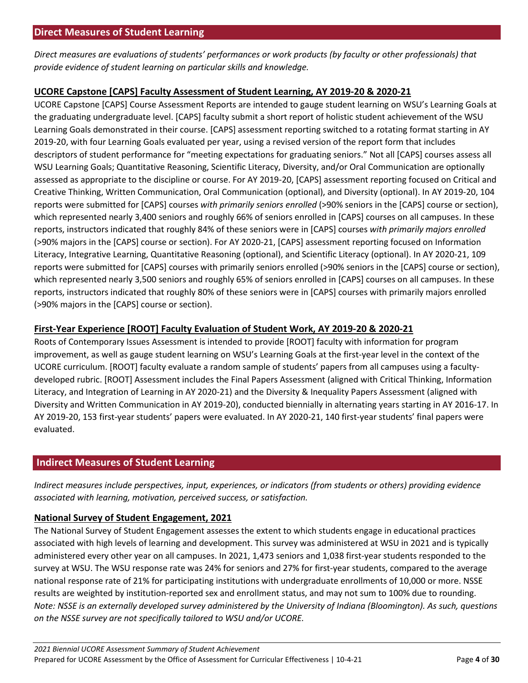<span id="page-3-0"></span>*Direct measures are evaluations of students' performances or work products (by faculty or other professionals) that provide evidence of student learning on particular skills and knowledge.*

### **UCORE Capstone [CAPS] Faculty Assessment of Student Learning, AY 2019-20 & 2020-21**

UCORE Capstone [CAPS] Course Assessment Reports are intended to gauge student learning on WSU's Learning Goals at the graduating undergraduate level. [CAPS] faculty submit a short report of holistic student achievement of the WSU Learning Goals demonstrated in their course. [CAPS] assessment reporting switched to a rotating format starting in AY 2019-20, with four Learning Goals evaluated per year, using a revised version of the report form that includes descriptors of student performance for "meeting expectations for graduating seniors." Not all [CAPS] courses assess all WSU Learning Goals; Quantitative Reasoning, Scientific Literacy, Diversity, and/or Oral Communication are optionally assessed as appropriate to the discipline or course. For AY 2019-20, [CAPS] assessment reporting focused on Critical and Creative Thinking, Written Communication, Oral Communication (optional), and Diversity (optional). In AY 2019-20, 104 reports were submitted for [CAPS] courses *with primarily seniors enrolled* (>90% seniors in the [CAPS] course or section), which represented nearly 3,400 seniors and roughly 66% of seniors enrolled in [CAPS] courses on all campuses. In these reports, instructors indicated that roughly 84% of these seniors were in [CAPS] courses *with primarily majors enrolled* (>90% majors in the [CAPS] course or section). For AY 2020-21, [CAPS] assessment reporting focused on Information Literacy, Integrative Learning, Quantitative Reasoning (optional), and Scientific Literacy (optional). In AY 2020-21, 109 reports were submitted for [CAPS] courses with primarily seniors enrolled (>90% seniors in the [CAPS] course or section), which represented nearly 3,500 seniors and roughly 65% of seniors enrolled in [CAPS] courses on all campuses. In these reports, instructors indicated that roughly 80% of these seniors were in [CAPS] courses with primarily majors enrolled (>90% majors in the [CAPS] course or section).

# **First-Year Experience [ROOT] Faculty Evaluation of Student Work, AY 2019-20 & 2020-21**

Roots of Contemporary Issues Assessment is intended to provide [ROOT] faculty with information for program improvement, as well as gauge student learning on WSU's Learning Goals at the first-year level in the context of the UCORE curriculum. [ROOT] faculty evaluate a random sample of students' papers from all campuses using a facultydeveloped rubric. [ROOT] Assessment includes the Final Papers Assessment (aligned with Critical Thinking, Information Literacy, and Integration of Learning in AY 2020-21) and the Diversity & Inequality Papers Assessment (aligned with Diversity and Written Communication in AY 2019-20), conducted biennially in alternating years starting in AY 2016-17. In AY 2019-20, 153 first-year students' papers were evaluated. In AY 2020-21, 140 first-year students' final papers were evaluated.

# <span id="page-3-1"></span>**Indirect Measures of Student Learning**

*Indirect measures include perspectives, input, experiences, or indicators (from students or others) providing evidence associated with learning, motivation, perceived success, or satisfaction.*

# **National Survey of Student Engagement, 2021**

The National Survey of Student Engagement assesses the extent to which students engage in educational practices associated with high levels of learning and development. This survey was administered at WSU in 2021 and is typically administered every other year on all campuses. In 2021, 1,473 seniors and 1,038 first-year students responded to the survey at WSU. The WSU response rate was 24% for seniors and 27% for first-year students, compared to the average national response rate of 21% for participating institutions with undergraduate enrollments of 10,000 or more. NSSE results are weighted by institution-reported sex and enrollment status, and may not sum to 100% due to rounding. *Note: NSSE is an externally developed survey administered by the University of Indiana (Bloomington). As such, questions on the NSSE survey are not specifically tailored to WSU and/or UCORE.*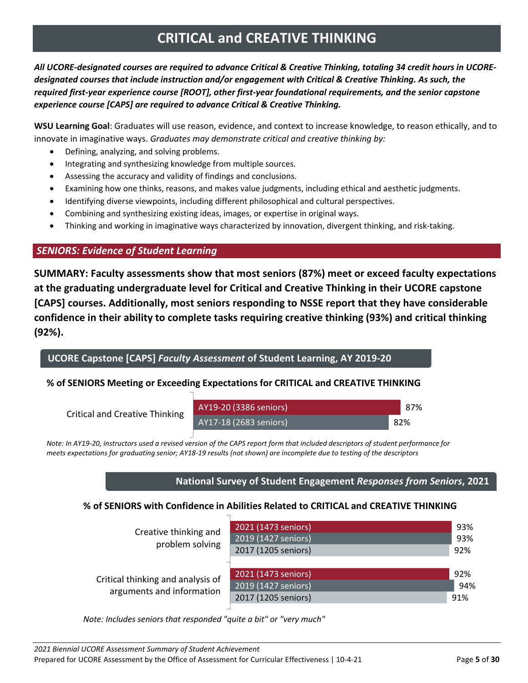# **CRITICAL and CREATIVE THINKING**

<span id="page-4-0"></span>*All UCORE-designated courses are required to advance Critical & Creative Thinking, totaling 34 credit hours in UCOREdesignated courses that include instruction and/or engagement with Critical & Creative Thinking. As such, the required first-year experience course [ROOT], other first-year foundational requirements, and the senior capstone experience course [CAPS] are required to advance Critical & Creative Thinking.* 

**WSU Learning Goal**: Graduates will use reason, evidence, and context to increase knowledge, to reason ethically, and to innovate in imaginative ways. *Graduates may demonstrate critical and creative thinking by:*

- Defining, analyzing, and solving problems.
- Integrating and synthesizing knowledge from multiple sources.
- Assessing the accuracy and validity of findings and conclusions.
- Examining how one thinks, reasons, and makes value judgments, including ethical and aesthetic judgments.
- Identifying diverse viewpoints, including different philosophical and cultural perspectives.
- Combining and synthesizing existing ideas, images, or expertise in original ways.
- Thinking and working in imaginative ways characterized by innovation, divergent thinking, and risk-taking.

# *SENIORS: Evidence of Student Learning*

**SUMMARY: Faculty assessments show that most seniors (87%) meet or exceed faculty expectations at the graduating undergraduate level for Critical and Creative Thinking in their UCORE capstone [CAPS] courses. Additionally, most seniors responding to NSSE report that they have considerable confidence in their ability to complete tasks requiring creative thinking (93%) and critical thinking (92%).**

**UCORE Capstone [CAPS]** *Faculty Assessment* **of Student Learning, AY 2019-20**

# **% of SENIORS Meeting or Exceeding Expectations for CRITICAL and CREATIVE THINKING**

Critical and Creative Thinking

| AY19-20 (3386 seniors) | 87%  |
|------------------------|------|
| AY17-18 (2683 seniors) | -82% |

Note: In AY19-20, instructors used a revised version of the CAPS report form that included descriptors of student performance for *meets expectations for graduating senior; AY18-19 results (not shown) are incomplete due to testing of the descriptors*

### **National Survey of Student Engagement** *Responses from Seniors***, 2021**

# **% of SENIORS with Confidence in Abilities Related to CRITICAL and CREATIVE THINKING**

| Creative thinking and<br>problem solving                       | 2021 (1473 seniors)<br>2019 (1427 seniors)<br>2017 (1205 seniors) | 93%<br>93%<br>92% |
|----------------------------------------------------------------|-------------------------------------------------------------------|-------------------|
| Critical thinking and analysis of<br>arguments and information | 2021 (1473 seniors)<br>2019 (1427 seniors)<br>2017 (1205 seniors) | 92%<br>94%<br>91% |

0 0.2 0.4 0.6 0.8 1 *Note: Includes seniors that responded "quite a bit" or "very much"*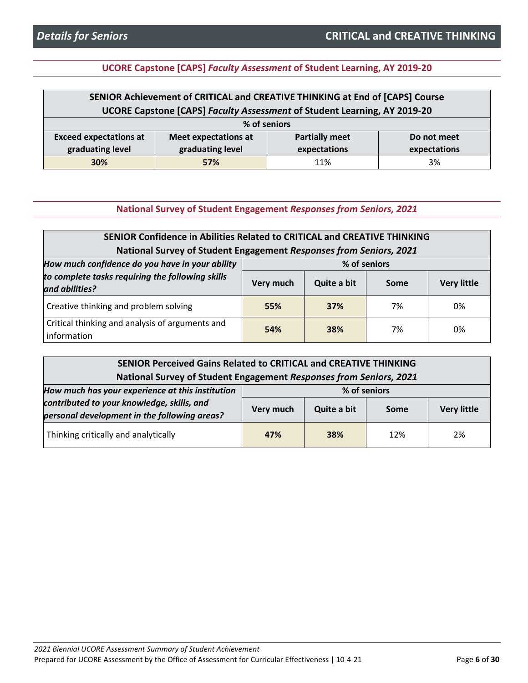# **UCORE Capstone [CAPS]** *Faculty Assessment* **of Student Learning, AY 2019-20**

| SENIOR Achievement of CRITICAL and CREATIVE THINKING at End of [CAPS] Course |                                                                          |  |  |  |  |  |
|------------------------------------------------------------------------------|--------------------------------------------------------------------------|--|--|--|--|--|
|                                                                              | UCORE Capstone [CAPS] Faculty Assessment of Student Learning, AY 2019-20 |  |  |  |  |  |
|                                                                              | % of seniors                                                             |  |  |  |  |  |
| <b>Exceed expectations at</b>                                                | <b>Meet expectations at</b><br><b>Partially meet</b><br>Do not meet      |  |  |  |  |  |
| graduating level<br>graduating level<br>expectations<br>expectations         |                                                                          |  |  |  |  |  |
| 3%<br><b>30%</b><br>57%<br>11%                                               |                                                                          |  |  |  |  |  |

**National Survey of Student Engagement** *Responses from Seniors, 2021*

| SENIOR Confidence in Abilities Related to CRITICAL and CREATIVE THINKING                 |                                                        |     |    |    |  |
|------------------------------------------------------------------------------------------|--------------------------------------------------------|-----|----|----|--|
| National Survey of Student Engagement Responses from Seniors, 2021                       |                                                        |     |    |    |  |
| How much confidence do you have in your ability<br>% of seniors                          |                                                        |     |    |    |  |
| to complete tasks requiring the following skills<br>and abilities?                       | Quite a bit<br><b>Very little</b><br>Very much<br>Some |     |    |    |  |
| Creative thinking and problem solving                                                    | 55%                                                    | 37% | 7% | 0% |  |
| Critical thinking and analysis of arguments and<br>54%<br>7%<br>0%<br>38%<br>information |                                                        |     |    |    |  |

| SENIOR Perceived Gains Related to CRITICAL and CREATIVE THINKING<br>National Survey of Student Engagement Responses from Seniors, 2021 |           |             |             |                    |
|----------------------------------------------------------------------------------------------------------------------------------------|-----------|-------------|-------------|--------------------|
| How much has your experience at this institution<br>% of seniors                                                                       |           |             |             |                    |
| contributed to your knowledge, skills, and<br>personal development in the following areas?                                             | Very much | Quite a bit | <b>Some</b> | <b>Very little</b> |
| Thinking critically and analytically                                                                                                   | 47%       | 38%         | 12%         | 2%                 |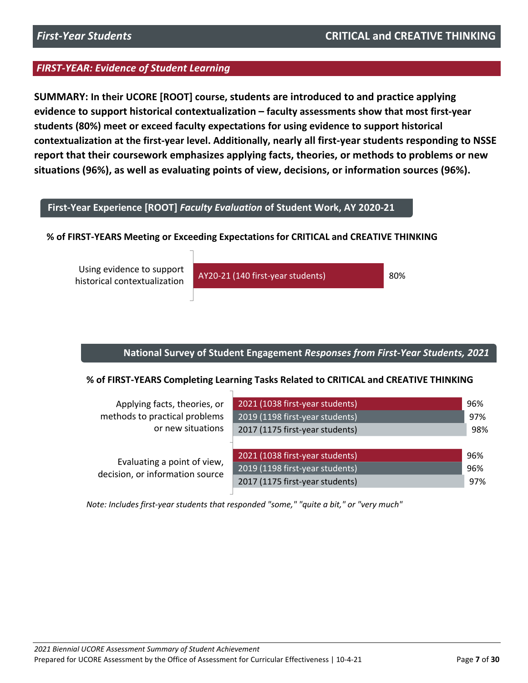**SUMMARY: In their UCORE [ROOT] course, students are introduced to and practice applying evidence to support historical contextualization – faculty assessments show that most first-year students (80%) meet or exceed faculty expectations for using evidence to support historical contextualization at the first-year level. Additionally, nearly all first-year students responding to NSSE report that their coursework emphasizes applying facts, theories, or methods to problems or new situations (96%), as well as evaluating points of view, decisions, or information sources (96%).**

# **First-Year Experience [ROOT]** *Faculty Evaluation* **of Student Work, AY 2020-21**

### **% of FIRST-YEARS Meeting or Exceeding Expectations for CRITICAL and CREATIVE THINKING**

Using evidence to support historical contextualization

AY20-21 (140 first-year students) 80%

### **National Survey of Student Engagement** *Responses from First-Year Students, 2021*

### **% of FIRST-YEARS Completing Learning Tasks Related to CRITICAL and CREATIVE THINKING**

| Applying facts, theories, or                                   | 2021 (1038 first-year students) | 96% |
|----------------------------------------------------------------|---------------------------------|-----|
| methods to practical problems                                  | 2019 (1198 first-year students) | 97% |
| or new situations                                              | 2017 (1175 first-year students) | 98% |
|                                                                |                                 |     |
|                                                                | 2021 (1038 first-year students) | 96% |
| Evaluating a point of view,<br>decision, or information source | 2019 (1198 first-year students) | 96% |
|                                                                | 2017 (1175 first-year students) | 97% |
|                                                                |                                 |     |

0 0.2 0.4 0.6 0.8 1 *Note: Includes first-year students that responded "some," "quite a bit," or "very much"*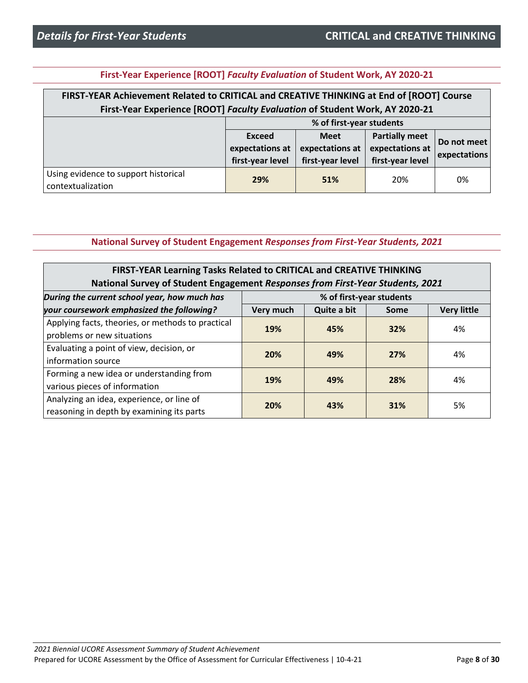|  | First-Year Experience [ROOT] Faculty Evaluation of Student Work, AY 2020-21 |  |
|--|-----------------------------------------------------------------------------|--|
|--|-----------------------------------------------------------------------------|--|

| FIRST-YEAR Achievement Related to CRITICAL and CREATIVE THINKING at End of [ROOT] Course |
|------------------------------------------------------------------------------------------|
| First-Year Experience [ROOT] Faculty Evaluation of Student Work, AY 2020-21              |
| % of first-year students                                                                 |

|                                                           | $20$ of those year beautified                        |                                                    |                                                              |                             |
|-----------------------------------------------------------|------------------------------------------------------|----------------------------------------------------|--------------------------------------------------------------|-----------------------------|
|                                                           | <b>Exceed</b><br>expectations at<br>first-year level | <b>Meet</b><br>expectations at<br>first-year level | <b>Partially meet</b><br>expectations at<br>first-year level | Do not meet<br>expectations |
| Using evidence to support historical<br>contextualization | 29%                                                  | 51%                                                | 20%                                                          | 0%                          |

### **National Survey of Student Engagement** *Responses from First-Year Students, 2021*

| FIRST-YEAR Learning Tasks Related to CRITICAL and CREATIVE THINKING<br>National Survey of Student Engagement Responses from First-Year Students, 2021 |                          |             |      |                    |
|-------------------------------------------------------------------------------------------------------------------------------------------------------|--------------------------|-------------|------|--------------------|
| During the current school year, how much has                                                                                                          | % of first-year students |             |      |                    |
| your coursework emphasized the following?                                                                                                             | Very much                | Quite a bit | Some | <b>Very little</b> |
| Applying facts, theories, or methods to practical<br>problems or new situations                                                                       | 19%                      | 45%         | 32%  | 4%                 |
| Evaluating a point of view, decision, or<br>information source                                                                                        | 20%                      | 49%         | 27%  | 4%                 |
| Forming a new idea or understanding from<br>various pieces of information                                                                             | 19%                      | 49%         | 28%  | 4%                 |
| Analyzing an idea, experience, or line of<br>reasoning in depth by examining its parts                                                                | 20%                      | 43%         | 31%  | 5%                 |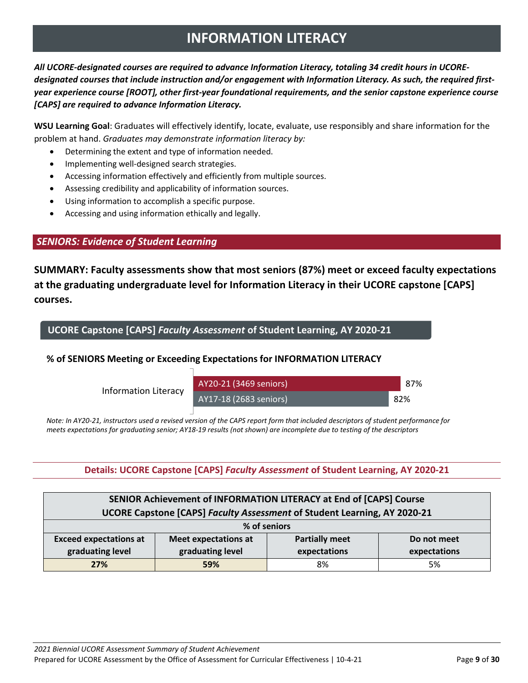# **INFORMATION LITERACY**

<span id="page-8-0"></span>*All UCORE-designated courses are required to advance Information Literacy, totaling 34 credit hours in UCOREdesignated courses that include instruction and/or engagement with Information Literacy. As such, the required firstyear experience course [ROOT], other first-year foundational requirements, and the senior capstone experience course [CAPS] are required to advance Information Literacy.* 

**WSU Learning Goal**: Graduates will effectively identify, locate, evaluate, use responsibly and share information for the problem at hand. *Graduates may demonstrate information literacy by:*

- Determining the extent and type of information needed.
- Implementing well-designed search strategies.
- Accessing information effectively and efficiently from multiple sources.
- Assessing credibility and applicability of information sources.
- Using information to accomplish a specific purpose.
- Accessing and using information ethically and legally.

### *SENIORS: Evidence of Student Learning*

**SUMMARY: Faculty assessments show that most seniors (87%) meet or exceed faculty expectations at the graduating undergraduate level for Information Literacy in their UCORE capstone [CAPS] courses.** 

**UCORE Capstone [CAPS]** *Faculty Assessment* **of Student Learning, AY 2020-21**

### **% of SENIORS Meeting or Exceeding Expectations for INFORMATION LITERACY**

Information Literacy



Note: In AY20-21, instructors used a revised version of the CAPS report form that included descriptors of student performance for *meets expectations for graduating senior; AY18-19 results (not shown) are incomplete due to testing of the descriptors*

### **Details: UCORE Capstone [CAPS]** *Faculty Assessment* **of Student Learning, AY 2020-21**

| SENIOR Achievement of INFORMATION LITERACY at End of [CAPS] Course                                   |     |    |    |  |  |  |
|------------------------------------------------------------------------------------------------------|-----|----|----|--|--|--|
| UCORE Capstone [CAPS] Faculty Assessment of Student Learning, AY 2020-21                             |     |    |    |  |  |  |
| % of seniors                                                                                         |     |    |    |  |  |  |
| <b>Exceed expectations at</b><br><b>Partially meet</b><br><b>Meet expectations at</b><br>Do not meet |     |    |    |  |  |  |
| graduating level<br>graduating level<br>expectations<br>expectations                                 |     |    |    |  |  |  |
| 27%                                                                                                  | 59% | 8% | 5% |  |  |  |

87%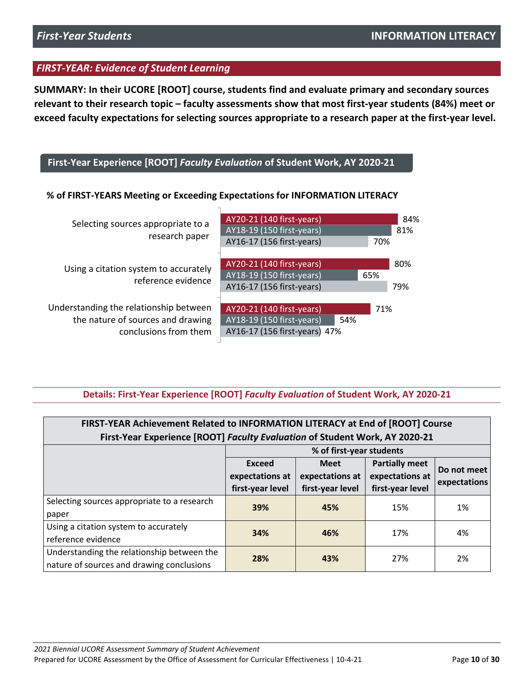**SUMMARY: In their UCORE [ROOT] course, students find and evaluate primary and secondary sources relevant to their research topic – faculty assessments show that most first-year students (84%) meet or exceed faculty expectations for selecting sources appropriate to a research paper at the first-year level.** 

### **First-Year Experience [ROOT]** *Faculty Evaluation* **of Student Work, AY 2020-21**

### **% of FIRST-YEARS Meeting or Exceeding Expectations for INFORMATION LITERACY**

| Selecting sources appropriate to a<br>research paper                                                 | AY20-21 (140 first-years)<br>AY18-19 (150 first-years)<br>AY16-17 (156 first-years)<br>70%            | 84%<br>81% |
|------------------------------------------------------------------------------------------------------|-------------------------------------------------------------------------------------------------------|------------|
| Using a citation system to accurately<br>reference evidence                                          | AY20-21 (140 first-years)<br>AY18-19 (150 first-years)<br>65%<br>AY16-17 (156 first-years)            | 80%<br>79% |
| Understanding the relationship between<br>the nature of sources and drawing<br>conclusions from them | AY20-21 (140 first-years)<br>71%<br>AY18-19 (150 first-years)<br>54%<br>AY16-17 (156 first-years) 47% |            |

### **Details: First-Year Experience [ROOT]** *Faculty Evaluation* **of Student Work, AY 2020-21**

| FIRST-YEAR Achievement Related to INFORMATION LITERACY at End of [ROOT] Course |                          |                  |                       |              |  |
|--------------------------------------------------------------------------------|--------------------------|------------------|-----------------------|--------------|--|
| First-Year Experience [ROOT] Faculty Evaluation of Student Work, AY 2020-21    |                          |                  |                       |              |  |
|                                                                                | % of first-year students |                  |                       |              |  |
|                                                                                | Exceed                   | <b>Meet</b>      | <b>Partially meet</b> | Do not meet  |  |
|                                                                                | expectations at          | expectations at  | expectations at       | expectations |  |
|                                                                                | first-year level         | first-year level | first-year level      |              |  |
| Selecting sources appropriate to a research                                    | 39%                      | 45%              | 15%                   | 1%           |  |
| paper                                                                          |                          |                  |                       |              |  |
| Using a citation system to accurately                                          | 34%                      | 46%              | 17%                   | 4%           |  |
| reference evidence                                                             |                          |                  |                       |              |  |
| Understanding the relationship between the                                     | 28%                      | 43%              | 27%                   | 2%           |  |
| nature of sources and drawing conclusions                                      |                          |                  |                       |              |  |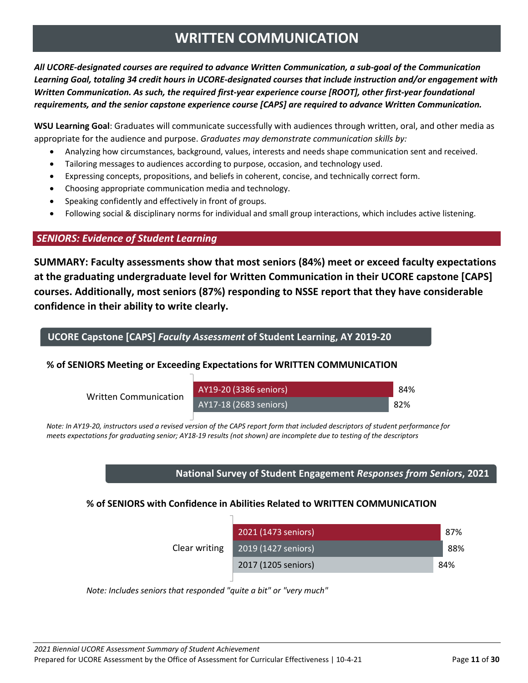# **WRITTEN COMMUNICATION**

<span id="page-10-0"></span>*All UCORE-designated courses are required to advance Written Communication, a sub-goal of the Communication Learning Goal, totaling 34 credit hours in UCORE-designated courses that include instruction and/or engagement with Written Communication. As such, the required first-year experience course [ROOT], other first-year foundational requirements, and the senior capstone experience course [CAPS] are required to advance Written Communication.* 

**WSU Learning Goal**: Graduates will communicate successfully with audiences through written, oral, and other media as appropriate for the audience and purpose. *Graduates may demonstrate communication skills by:*

- Analyzing how circumstances, background, values, interests and needs shape communication sent and received.
- Tailoring messages to audiences according to purpose, occasion, and technology used.
- Expressing concepts, propositions, and beliefs in coherent, concise, and technically correct form.
- Choosing appropriate communication media and technology.
- Speaking confidently and effectively in front of groups.
- Following social & disciplinary norms for individual and small group interactions, which includes active listening.

### *SENIORS: Evidence of Student Learning*

**SUMMARY: Faculty assessments show that most seniors (84%) meet or exceed faculty expectations at the graduating undergraduate level for Written Communication in their UCORE capstone [CAPS] courses. Additionally, most seniors (87%) responding to NSSE report that they have considerable confidence in their ability to write clearly.**

### **UCORE Capstone [CAPS]** *Faculty Assessment* **of Student Learning, AY 2019-20**

### **% of SENIORS Meeting or Exceeding Expectations for WRITTEN COMMUNICATION**

| <b>Written Communication</b> | AY19-20 (3386 seniors) | 84% |
|------------------------------|------------------------|-----|
|                              | AY17-18 (2683 seniors) | 82% |

Note: In AY19-20, instructors used a revised version of the CAPS report form that included descriptors of student performance for *meets expectations for graduating senior; AY18-19 results (not shown) are incomplete due to testing of the descriptors*

### **National Survey of Student Engagement** *Responses from Seniors***, 2021**

### **% of SENIORS with Confidence in Abilities Related to WRITTEN COMMUNICATION**

|               | 2021 (1473 seniors) | 87%  |
|---------------|---------------------|------|
| Clear writing | 2019 (1427 seniors) | -88% |
|               | 2017 (1205 seniors) | 84%  |

0 0.2 0.4 0.6 0.8 1 *Note: Includes seniors that responded "quite a bit" or "very much"*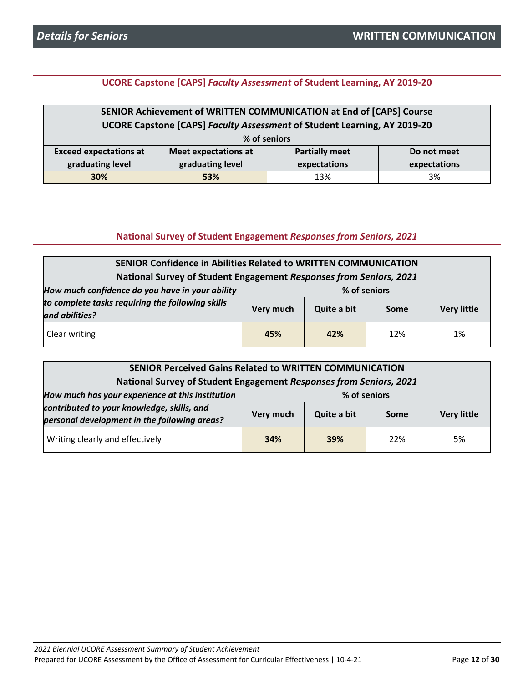**UCORE Capstone [CAPS]** *Faculty Assessment* **of Student Learning, AY 2019-20**

| SENIOR Achievement of WRITTEN COMMUNICATION at End of [CAPS] Course                                  |     |     |    |  |  |
|------------------------------------------------------------------------------------------------------|-----|-----|----|--|--|
| UCORE Capstone [CAPS] Faculty Assessment of Student Learning, AY 2019-20                             |     |     |    |  |  |
| % of seniors                                                                                         |     |     |    |  |  |
| <b>Exceed expectations at</b><br><b>Partially meet</b><br><b>Meet expectations at</b><br>Do not meet |     |     |    |  |  |
| graduating level<br>graduating level<br>expectations<br>expectations                                 |     |     |    |  |  |
| 30%                                                                                                  | 53% | 13% | 3% |  |  |

### **National Survey of Student Engagement** *Responses from Seniors, 2021*

| <b>SENIOR Confidence in Abilities Related to WRITTEN COMMUNICATION</b> |           |              |      |                    |  |
|------------------------------------------------------------------------|-----------|--------------|------|--------------------|--|
| National Survey of Student Engagement Responses from Seniors, 2021     |           |              |      |                    |  |
| How much confidence do you have in your ability                        |           | % of seniors |      |                    |  |
| to complete tasks requiring the following skills<br>and abilities?     | Very much | Quite a bit  | Some | <b>Very little</b> |  |
| Clear writing                                                          | 45%       | 42%          | 12%  | 1%                 |  |

| <b>SENIOR Perceived Gains Related to WRITTEN COMMUNICATION</b>                             |              |             |      |                    |  |
|--------------------------------------------------------------------------------------------|--------------|-------------|------|--------------------|--|
| National Survey of Student Engagement Responses from Seniors, 2021                         |              |             |      |                    |  |
| How much has your experience at this institution                                           | % of seniors |             |      |                    |  |
| contributed to your knowledge, skills, and<br>personal development in the following areas? | Very much    | Quite a bit | Some | <b>Very little</b> |  |
| Writing clearly and effectively                                                            | 34%          | 39%         | 22%  | 5%                 |  |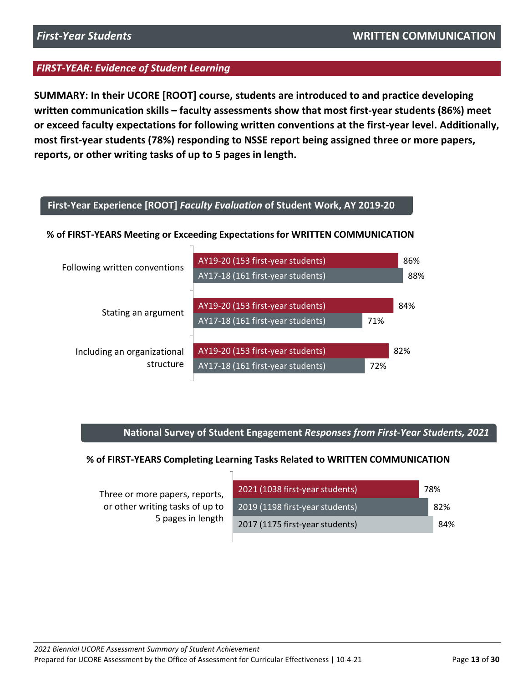**SUMMARY: In their UCORE [ROOT] course, students are introduced to and practice developing written communication skills – faculty assessments show that most first-year students (86%) meet or exceed faculty expectations for following written conventions at the first-year level. Additionally, most first-year students (78%) responding to NSSE report being assigned three or more papers, reports, or other writing tasks of up to 5 pages in length.** 

### **First-Year Experience [ROOT]** *Faculty Evaluation* **of Student Work, AY 2019-20**

### **% of FIRST-YEARS Meeting or Exceeding Expectations for WRITTEN COMMUNICATION**



### **National Survey of Student Engagement** *Responses from First-Year Students, 2021*

### **% of FIRST-YEARS Completing Learning Tasks Related to WRITTEN COMMUNICATION**

| Three or more papers, reports,  |
|---------------------------------|
| or other writing tasks of up to |
| 5 pages in length               |

| 2021 (1038 first-year students) | 78% |                 |
|---------------------------------|-----|-----------------|
| 2019 (1198 first-year students) |     | 82 <sup>%</sup> |
| 2017 (1175 first-year students) |     | <b>84%</b>      |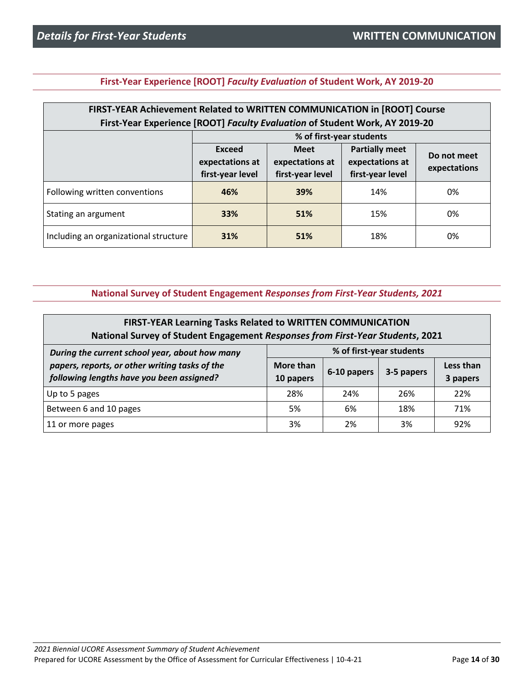| FIRST-YEAR Achievement Related to WRITTEN COMMUNICATION in [ROOT] Course    |                  |                  |                       |              |  |
|-----------------------------------------------------------------------------|------------------|------------------|-----------------------|--------------|--|
| First-Year Experience [ROOT] Faculty Evaluation of Student Work, AY 2019-20 |                  |                  |                       |              |  |
| % of first-year students                                                    |                  |                  |                       |              |  |
|                                                                             | Exceed           | <b>Meet</b>      | <b>Partially meet</b> | Do not meet  |  |
|                                                                             | expectations at  | expectations at  | expectations at       | expectations |  |
|                                                                             | first-year level | first-year level | first-year level      |              |  |
| Following written conventions                                               | 46%              | 39%              | 14%                   | 0%           |  |
|                                                                             |                  |                  |                       |              |  |

Stating an argument **33% 51%** 15% 0%

Including an organizational structure **31% 51%** 18% 18% 18%

**First-Year Experience [ROOT]** *Faculty Evaluation* **of Student Work, AY 2019-20**

### **National Survey of Student Engagement** *Responses from First-Year Students, 2021*

| FIRST-YEAR Learning Tasks Related to WRITTEN COMMUNICATION<br>National Survey of Student Engagement Responses from First-Year Students, 2021 |                        |             |            |                       |
|----------------------------------------------------------------------------------------------------------------------------------------------|------------------------|-------------|------------|-----------------------|
| % of first-year students<br>During the current school year, about how many                                                                   |                        |             |            |                       |
| papers, reports, or other writing tasks of the<br>following lengths have you been assigned?                                                  | More than<br>10 papers | 6-10 papers | 3-5 papers | Less than<br>3 papers |
| Up to 5 pages                                                                                                                                | 28%                    | 24%         | 26%        | 22%                   |
| Between 6 and 10 pages                                                                                                                       | 5%                     | 6%          | 18%        | 71%                   |
| 11 or more pages                                                                                                                             | 3%                     | 2%          | 3%         | 92%                   |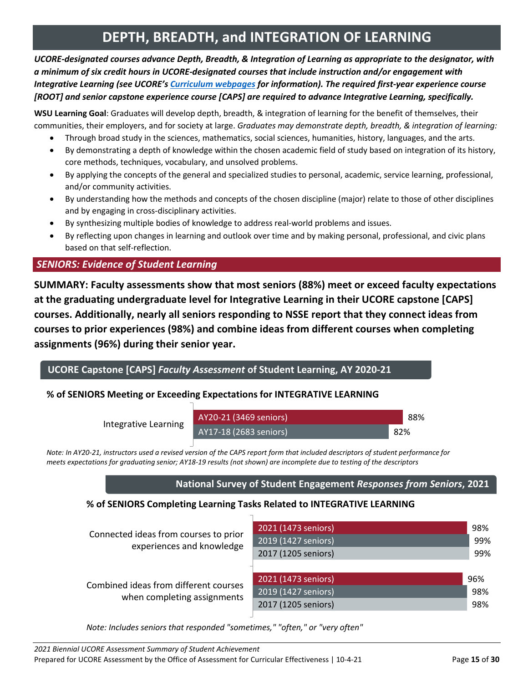# **DEPTH, BREADTH, and INTEGRATION OF LEARNING**

<span id="page-14-0"></span>*UCORE-designated courses advance Depth, Breadth, & Integration of Learning as appropriate to the designator, with a minimum of six credit hours in UCORE-designated courses that include instruction and/or engagement with Integrative Learning (see UCORE'[s Curriculum webpages](https://ucore.wsu.edu/faculty/the-ucore-curriculum/) for information). The required first-year experience course [ROOT] and senior capstone experience course [CAPS] are required to advance Integrative Learning, specifically.* 

**WSU Learning Goal**: Graduates will develop depth, breadth, & integration of learning for the benefit of themselves, their communities, their employers, and for society at large. *Graduates may demonstrate depth, breadth, & integration of learning:*

- Through broad study in the sciences, mathematics, social sciences, humanities, history, languages, and the arts.
- By demonstrating a depth of knowledge within the chosen academic field of study based on integration of its history, core methods, techniques, vocabulary, and unsolved problems.
- By applying the concepts of the general and specialized studies to personal, academic, service learning, professional, and/or community activities.
- By understanding how the methods and concepts of the chosen discipline (major) relate to those of other disciplines and by engaging in cross-disciplinary activities.
- By synthesizing multiple bodies of knowledge to address real-world problems and issues.
- By reflecting upon changes in learning and outlook over time and by making personal, professional, and civic plans based on that self-reflection.

# *SENIORS: Evidence of Student Learning*

**SUMMARY: Faculty assessments show that most seniors (88%) meet or exceed faculty expectations at the graduating undergraduate level for Integrative Learning in their UCORE capstone [CAPS] courses. Additionally, nearly all seniors responding to NSSE report that they connect ideas from courses to prior experiences (98%) and combine ideas from different courses when completing assignments (96%) during their senior year.**

**UCORE Capstone [CAPS]** *Faculty Assessment* **of Student Learning, AY 2020-21**

### **% of SENIORS Meeting or Exceeding Expectations for INTEGRATIVE LEARNING**

Integrative Learning

AY20-21 (3469 seniors) AY17-18 (2683 seniors) 82% 88%

Note: In AY20-21, instructors used a revised version of the CAPS report form that included descriptors of student performance for *meets expectations for graduating senior; AY18-19 results (not shown) are incomplete due to testing of the descriptors*

### **National Survey of Student Engagement** *Responses from Seniors***, 2021**

### **% of SENIORS Completing Learning Tasks Related to INTEGRATIVE LEARNING**

| Connected ideas from courses to prior<br>experiences and knowledge   | 2021 (1473 seniors)<br>2019 (1427 seniors)<br>2017 (1205 seniors) | 98%<br>99%<br>99% |
|----------------------------------------------------------------------|-------------------------------------------------------------------|-------------------|
| Combined ideas from different courses<br>when completing assignments | 2021 (1473 seniors)<br>2019 (1427 seniors)<br>2017 (1205 seniors) | 96%<br>98%<br>98% |

0 0.2 0.4 0.6 0.8 1 *Note: Includes seniors that responded "sometimes," "often," or "very often"*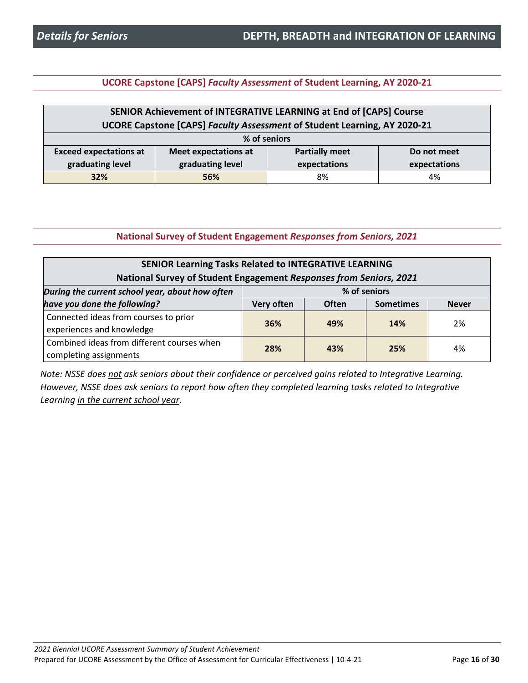**UCORE Capstone [CAPS]** *Faculty Assessment* **of Student Learning, AY 2020-21**

| SENIOR Achievement of INTEGRATIVE LEARNING at End of [CAPS] Course                                   |     |    |    |  |
|------------------------------------------------------------------------------------------------------|-----|----|----|--|
| UCORE Capstone [CAPS] Faculty Assessment of Student Learning, AY 2020-21                             |     |    |    |  |
| % of seniors                                                                                         |     |    |    |  |
| <b>Partially meet</b><br><b>Exceed expectations at</b><br><b>Meet expectations at</b><br>Do not meet |     |    |    |  |
| graduating level<br>graduating level<br>expectations<br>expectations                                 |     |    |    |  |
| 32%                                                                                                  | 56% | 8% | 4% |  |

### **National Survey of Student Engagement** *Responses from Seniors, 2021*

| <b>SENIOR Learning Tasks Related to INTEGRATIVE LEARNING</b><br>National Survey of Student Engagement Responses from Seniors, 2021 |     |     |     |    |
|------------------------------------------------------------------------------------------------------------------------------------|-----|-----|-----|----|
| % of seniors<br>During the current school year, about how often                                                                    |     |     |     |    |
| have you done the following?<br><b>Often</b><br>Very often<br><b>Sometimes</b><br><b>Never</b>                                     |     |     |     |    |
| Connected ideas from courses to prior                                                                                              | 36% | 49% | 14% | 2% |
| experiences and knowledge                                                                                                          |     |     |     |    |
| Combined ideas from different courses when                                                                                         | 28% | 43% | 25% | 4% |
| completing assignments                                                                                                             |     |     |     |    |

*Note: NSSE does not ask seniors about their confidence or perceived gains related to Integrative Learning. However, NSSE does ask seniors to report how often they completed learning tasks related to Integrative Learning in the current school year.*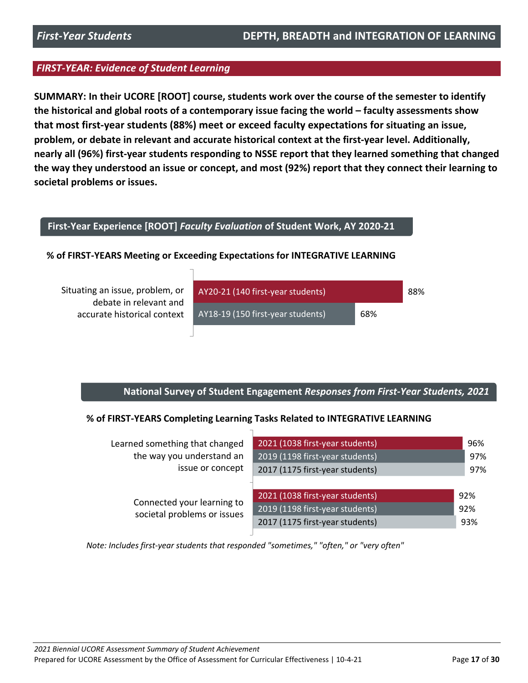**SUMMARY: In their UCORE [ROOT] course, students work over the course of the semester to identify the historical and global roots of a contemporary issue facing the world – faculty assessments show that most first-year students (88%) meet or exceed faculty expectations for situating an issue, problem, or debate in relevant and accurate historical context at the first-year level. Additionally, nearly all (96%) first-year students responding to NSSE report that they learned something that changed the way they understood an issue or concept, and most (92%) report that they connect their learning to societal problems or issues.** 

### **First-Year Experience [ROOT]** *Faculty Evaluation* **of Student Work, AY 2020-21**

### **% of FIRST-YEARS Meeting or Exceeding Expectations for INTEGRATIVE LEARNING**

Situating an issue, problem, or debate in relevant and accurate historical context



### **National Survey of Student Engagement** *Responses from First-Year Students, 2021*

### **% of FIRST-YEARS Completing Learning Tasks Related to INTEGRATIVE LEARNING**

|                                                           | Learned something that changed  | 2021 (1038 first-year students) | 96% |
|-----------------------------------------------------------|---------------------------------|---------------------------------|-----|
|                                                           | the way you understand an       | 2019 (1198 first-year students) | 97% |
|                                                           | issue or concept                | 2017 (1175 first-year students) | 97% |
|                                                           |                                 |                                 |     |
| Connected your learning to<br>societal problems or issues | 2021 (1038 first-year students) | 92%                             |     |
|                                                           | 2019 (1198 first-year students) | 92%                             |     |
|                                                           | 2017 (1175 first-year students) | 93%                             |     |
|                                                           |                                 |                                 |     |

0 0.2 0.4 0.6 0.8 1 *Note: Includes first-year students that responded "sometimes," "often," or "very often"*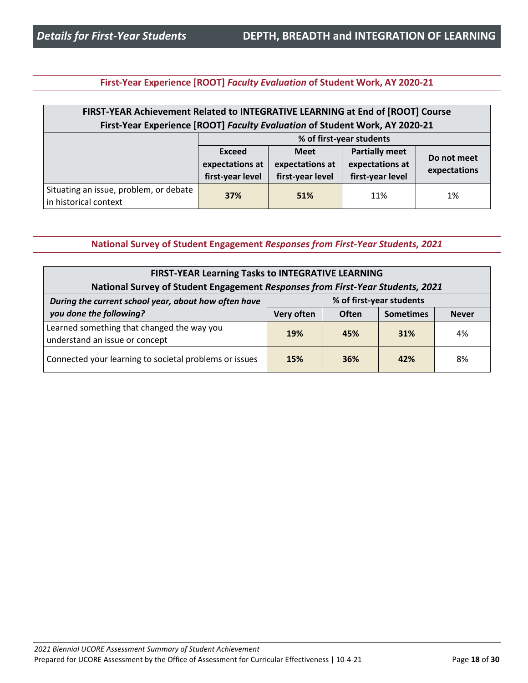### **First-Year Experience [ROOT]** *Faculty Evaluation* **of Student Work, AY 2020-21**

| FIRST-YEAR Achievement Related to INTEGRATIVE LEARNING at End of [ROOT] Course<br>First-Year Experience [ROOT] Faculty Evaluation of Student Work, AY 2020-21 |                                                                          |     |     |    |  |  |
|---------------------------------------------------------------------------------------------------------------------------------------------------------------|--------------------------------------------------------------------------|-----|-----|----|--|--|
| % of first-year students                                                                                                                                      |                                                                          |     |     |    |  |  |
|                                                                                                                                                               | <b>Partially meet</b><br>Exceed<br><b>Meet</b><br>Do not meet            |     |     |    |  |  |
|                                                                                                                                                               | expectations at<br>expectations at<br>expectations at                    |     |     |    |  |  |
|                                                                                                                                                               | expectations<br>first-year level<br>first-year level<br>first-year level |     |     |    |  |  |
| Situating an issue, problem, or debate<br>in historical context                                                                                               | 37%                                                                      | 51% | 11% | 1% |  |  |

### **National Survey of Student Engagement** *Responses from First-Year Students, 2021*

| <b>FIRST-YEAR Learning Tasks to INTEGRATIVE LEARNING</b>                                                                                                           |            |              |                  |              |
|--------------------------------------------------------------------------------------------------------------------------------------------------------------------|------------|--------------|------------------|--------------|
| National Survey of Student Engagement Responses from First-Year Students, 2021<br>% of first-year students<br>During the current school year, about how often have |            |              |                  |              |
| you done the following?                                                                                                                                            | Very often | <b>Often</b> | <b>Sometimes</b> | <b>Never</b> |
| Learned something that changed the way you<br>understand an issue or concept                                                                                       | 19%        | 45%          | 31%              | 4%           |
| Connected your learning to societal problems or issues                                                                                                             | 15%        | 36%          | 42%              | 8%           |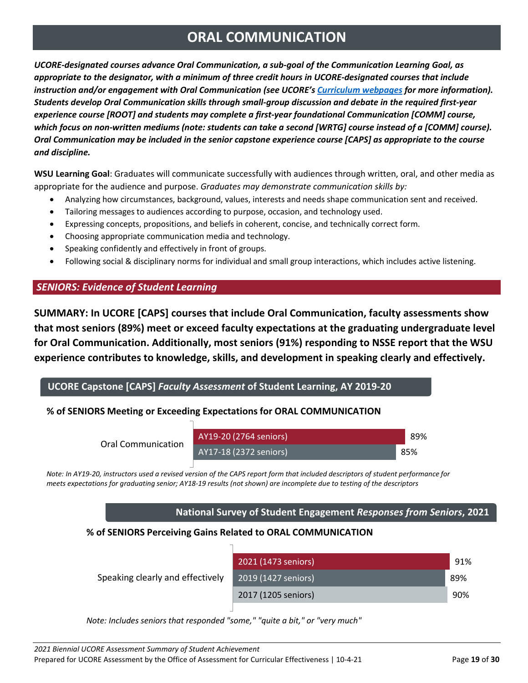# **ORAL COMMUNICATION**

<span id="page-18-0"></span>*UCORE-designated courses advance Oral Communication, a sub-goal of the Communication Learning Goal, as appropriate to the designator, with a minimum of three credit hours in UCORE-designated courses that include instruction and/or engagement with Oral Communication (see UCORE's [Curriculum webpages](https://ucore.wsu.edu/faculty/the-ucore-curriculum/) for more information). Students develop Oral Communication skills through small-group discussion and debate in the required first-year experience course [ROOT] and students may complete a first-year foundational Communication [COMM] course, which focus on non-written mediums (note: students can take a second [WRTG] course instead of a [COMM] course). Oral Communication may be included in the senior capstone experience course [CAPS] as appropriate to the course and discipline.*

**WSU Learning Goal**: Graduates will communicate successfully with audiences through written, oral, and other media as appropriate for the audience and purpose. *Graduates may demonstrate communication skills by:*

- Analyzing how circumstances, background, values, interests and needs shape communication sent and received.
- Tailoring messages to audiences according to purpose, occasion, and technology used.
- Expressing concepts, propositions, and beliefs in coherent, concise, and technically correct form.
- Choosing appropriate communication media and technology.
- Speaking confidently and effectively in front of groups.
- Following social & disciplinary norms for individual and small group interactions, which includes active listening.

# *SENIORS: Evidence of Student Learning*

**SUMMARY: In UCORE [CAPS] courses that include Oral Communication, faculty assessments show that most seniors (89%) meet or exceed faculty expectations at the graduating undergraduate level for Oral Communication. Additionally, most seniors (91%) responding to NSSE report that the WSU experience contributes to knowledge, skills, and development in speaking clearly and effectively.**

# **UCORE Capstone [CAPS]** *Faculty Assessment* **of Student Learning, AY 2019-20**

# **% of SENIORS Meeting or Exceeding Expectations for ORAL COMMUNICATION**

| Oral Communication | AY19-20 (2764 seniors) |  | -89% |
|--------------------|------------------------|--|------|
|                    | AY17-18 (2372 seniors) |  | 85%  |
|                    |                        |  |      |

Note: In AY19-20, instructors used a revised version of the CAPS report form that included descriptors of student performance for *meets expectations for graduating senior; AY18-19 results (not shown) are incomplete due to testing of the descriptors*

### **National Survey of Student Engagement** *Responses from Seniors***, 2021**

### **% of SENIORS Perceiving Gains Related to ORAL COMMUNICATION**

| Speaking clearly and effectively | 2021 (1473 seniors) | 91% |
|----------------------------------|---------------------|-----|
|                                  | 2019 (1427 seniors) | 89% |
|                                  | 2017 (1205 seniors) | 90% |
|                                  |                     |     |

0 0.2 0.4 0.6 0.8 1 *Note: Includes seniors that responded "some," "quite a bit," or "very much"*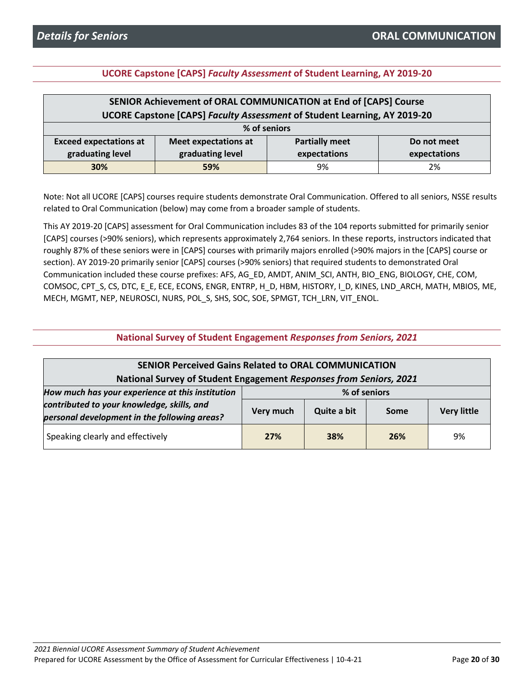### **UCORE Capstone [CAPS]** *Faculty Assessment* **of Student Learning, AY 2019-20**

| SENIOR Achievement of ORAL COMMUNICATION at End of [CAPS] Course                                     |     |    |    |  |
|------------------------------------------------------------------------------------------------------|-----|----|----|--|
| <b>UCORE Capstone [CAPS] Faculty Assessment of Student Learning, AY 2019-20</b>                      |     |    |    |  |
| % of seniors                                                                                         |     |    |    |  |
| <b>Partially meet</b><br><b>Exceed expectations at</b><br><b>Meet expectations at</b><br>Do not meet |     |    |    |  |
| graduating level<br>graduating level<br>expectations<br>expectations                                 |     |    |    |  |
| 30%                                                                                                  | 59% | 9% | 2% |  |

Note: Not all UCORE [CAPS] courses require students demonstrate Oral Communication. Offered to all seniors, NSSE results related to Oral Communication (below) may come from a broader sample of students.

This AY 2019-20 [CAPS] assessment for Oral Communication includes 83 of the 104 reports submitted for primarily senior [CAPS] courses (>90% seniors), which represents approximately 2,764 seniors. In these reports, instructors indicated that roughly 87% of these seniors were in [CAPS] courses with primarily majors enrolled (>90% majors in the [CAPS] course or section). AY 2019-20 primarily senior [CAPS] courses (>90% seniors) that required students to demonstrated Oral Communication included these course prefixes: AFS, AG\_ED, AMDT, ANIM\_SCI, ANTH, BIO\_ENG, BIOLOGY, CHE, COM, COMSOC, CPT\_S, CS, DTC, E\_E, ECE, ECONS, ENGR, ENTRP, H\_D, HBM, HISTORY, I\_D, KINES, LND\_ARCH, MATH, MBIOS, ME, MECH, MGMT, NEP, NEUROSCI, NURS, POL\_S, SHS, SOC, SOE, SPMGT, TCH\_LRN, VIT\_ENOL.

| <b>SENIOR Perceived Gains Related to ORAL COMMUNICATION</b><br>National Survey of Student Engagement Responses from Seniors, 2021              |                                                                        |     |     |    |
|------------------------------------------------------------------------------------------------------------------------------------------------|------------------------------------------------------------------------|-----|-----|----|
| How much has your experience at this institution<br>contributed to your knowledge, skills, and<br>personal development in the following areas? | % of seniors<br>Quite a bit<br>Very much<br><b>Very little</b><br>Some |     |     |    |
| Speaking clearly and effectively                                                                                                               | 27%                                                                    | 38% | 26% | 9% |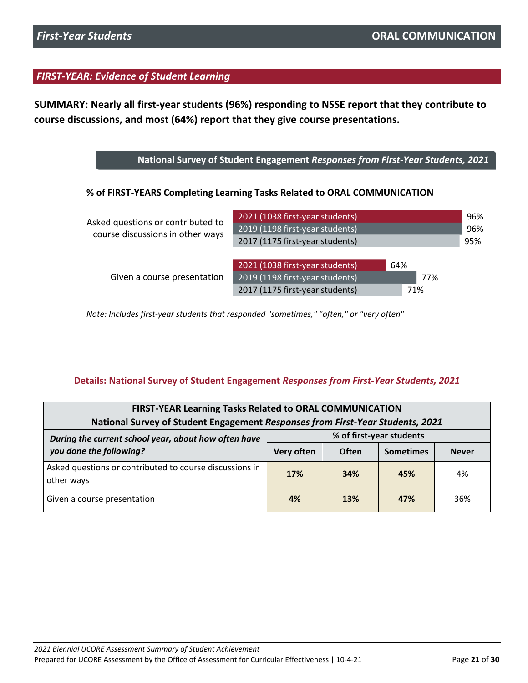**SUMMARY: Nearly all first-year students (96%) responding to NSSE report that they contribute to course discussions, and most (64%) report that they give course presentations.**

**National Survey of Student Engagement** *Responses from First-Year Students, 2021*

**% of FIRST-YEARS Completing Learning Tasks Related to ORAL COMMUNICATION**

| Asked questions or contributed to<br>course discussions in other ways | 2021 (1038 first-year students)<br>2019 (1198 first-year students)<br>2017 (1175 first-year students) |                   | 96%<br>96%<br>95% |
|-----------------------------------------------------------------------|-------------------------------------------------------------------------------------------------------|-------------------|-------------------|
| Given a course presentation                                           | 2021 (1038 first-year students)<br>2019 (1198 first-year students)<br>2017 (1175 first-year students) | 64%<br>77%<br>71% |                   |

0 0.2 0.4 0.6 0.8 1 *Note: Includes first-year students that responded "sometimes," "often," or "very often"*

### **Details: National Survey of Student Engagement** *Responses from First-Year Students, 2021*

| <b>FIRST-YEAR Learning Tasks Related to ORAL COMMUNICATION</b><br>National Survey of Student Engagement Responses from First-Year Students, 2021 |            |                          |                  |              |
|--------------------------------------------------------------------------------------------------------------------------------------------------|------------|--------------------------|------------------|--------------|
| During the current school year, about how often have                                                                                             |            | % of first-year students |                  |              |
| you done the following?                                                                                                                          | Very often | <b>Often</b>             | <b>Sometimes</b> | <b>Never</b> |
| Asked questions or contributed to course discussions in<br>other ways                                                                            | 17%        | 34%                      | 45%              | 4%           |
| Given a course presentation                                                                                                                      | 4%         | 13%                      | 47%              | 36%          |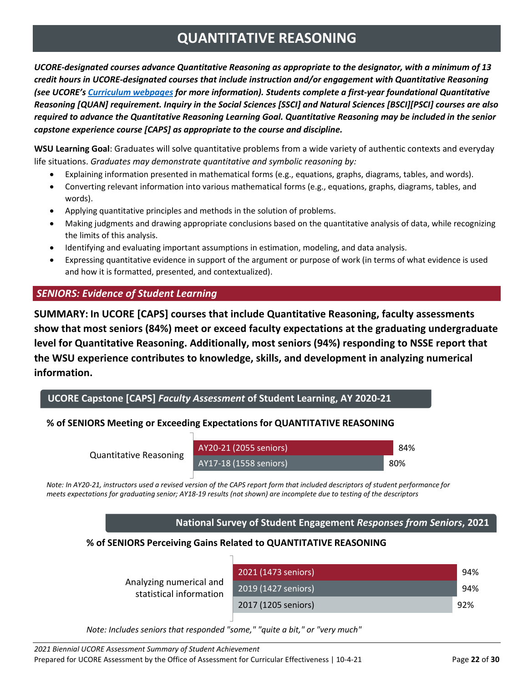# **QUANTITATIVE REASONING**

<span id="page-21-0"></span>*UCORE-designated courses advance Quantitative Reasoning as appropriate to the designator, with a minimum of 13 credit hours in UCORE-designated courses that include instruction and/or engagement with Quantitative Reasoning (see UCORE's [Curriculum webpages](https://ucore.wsu.edu/faculty/the-ucore-curriculum/) for more information). Students complete a first-year foundational Quantitative Reasoning [QUAN] requirement. Inquiry in the Social Sciences [SSCI] and Natural Sciences [BSCI][PSCI] courses are also required to advance the Quantitative Reasoning Learning Goal. Quantitative Reasoning may be included in the senior capstone experience course [CAPS] as appropriate to the course and discipline.*

**WSU Learning Goal**: Graduates will solve quantitative problems from a wide variety of authentic contexts and everyday life situations. *Graduates may demonstrate quantitative and symbolic reasoning by:*

- Explaining information presented in mathematical forms (e.g., equations, graphs, diagrams, tables, and words).
- Converting relevant information into various mathematical forms (e.g., equations, graphs, diagrams, tables, and words).
- Applying quantitative principles and methods in the solution of problems.
- Making judgments and drawing appropriate conclusions based on the quantitative analysis of data, while recognizing the limits of this analysis.
- Identifying and evaluating important assumptions in estimation, modeling, and data analysis.
- Expressing quantitative evidence in support of the argument or purpose of work (in terms of what evidence is used and how it is formatted, presented, and contextualized).

# *SENIORS: Evidence of Student Learning*

**SUMMARY: In UCORE [CAPS] courses that include Quantitative Reasoning, faculty assessments show that most seniors (84%) meet or exceed faculty expectations at the graduating undergraduate level for Quantitative Reasoning. Additionally, most seniors (94%) responding to NSSE report that the WSU experience contributes to knowledge, skills, and development in analyzing numerical information.**

**UCORE Capstone [CAPS]** *Faculty Assessment* **of Student Learning, AY 2020-21**

# **% of SENIORS Meeting or Exceeding Expectations for QUANTITATIVE REASONING**

Quantitative Reasoning

AY20-21 (2055 seniors) AY17-18 (1558 seniors) 80%

84%

Note: In AY20-21, instructors used a revised version of the CAPS report form that included descriptors of student performance for *meets expectations for graduating senior; AY18-19 results (not shown) are incomplete due to testing of the descriptors*

**National Survey of Student Engagement** *Responses from Seniors***, 2021**

# **% of SENIORS Perceiving Gains Related to QUANTITATIVE REASONING**

| 2021 (1473 seniors) | 94% |
|---------------------|-----|
| 2019 (1427 seniors) | 94% |
| 2017 (1205 seniors) | 92% |
|                     |     |

0 0.2 0.4 0.6 0.8 1 *Note: Includes seniors that responded "some," "quite a bit," or "very much"*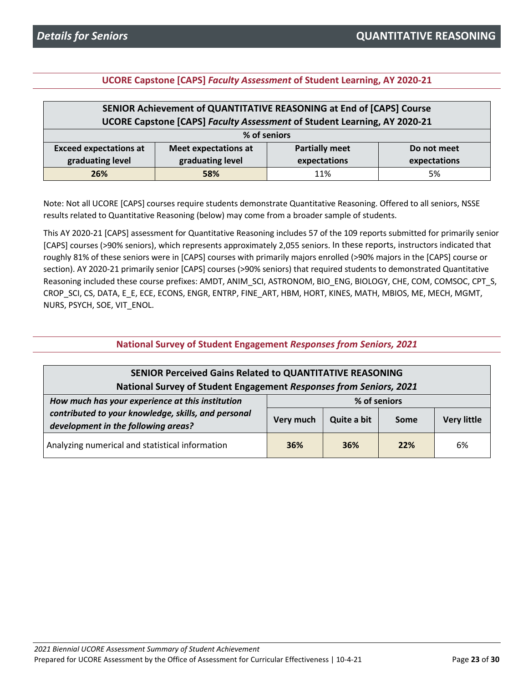### **UCORE Capstone [CAPS]** *Faculty Assessment* **of Student Learning, AY 2020-21**

| SENIOR Achievement of QUANTITATIVE REASONING at End of [CAPS] Course                                 |     |     |    |  |
|------------------------------------------------------------------------------------------------------|-----|-----|----|--|
| UCORE Capstone [CAPS] Faculty Assessment of Student Learning, AY 2020-21                             |     |     |    |  |
| % of seniors                                                                                         |     |     |    |  |
| <b>Partially meet</b><br><b>Exceed expectations at</b><br><b>Meet expectations at</b><br>Do not meet |     |     |    |  |
| graduating level<br>graduating level<br>expectations<br>expectations                                 |     |     |    |  |
| 26%                                                                                                  | 58% | 11% | 5% |  |

Note: Not all UCORE [CAPS] courses require students demonstrate Quantitative Reasoning. Offered to all seniors, NSSE results related to Quantitative Reasoning (below) may come from a broader sample of students.

This AY 2020-21 [CAPS] assessment for Quantitative Reasoning includes 57 of the 109 reports submitted for primarily senior [CAPS] courses (>90% seniors), which represents approximately 2,055 seniors. In these reports, instructors indicated that roughly 81% of these seniors were in [CAPS] courses with primarily majors enrolled (>90% majors in the [CAPS] course or section). AY 2020-21 primarily senior [CAPS] courses (>90% seniors) that required students to demonstrated Quantitative Reasoning included these course prefixes: AMDT, ANIM\_SCI, ASTRONOM, BIO\_ENG, BIOLOGY, CHE, COM, COMSOC, CPT\_S, CROP\_SCI, CS, DATA, E\_E, ECE, ECONS, ENGR, ENTRP, FINE\_ART, HBM, HORT, KINES, MATH, MBIOS, ME, MECH, MGMT, NURS, PSYCH, SOE, VIT\_ENOL.

**National Survey of Student Engagement** *Responses from Seniors, 2021*

| <b>SENIOR Perceived Gains Related to QUANTITATIVE REASONING</b><br>National Survey of Student Engagement Responses from Seniors, 2021 |              |             |      |                    |
|---------------------------------------------------------------------------------------------------------------------------------------|--------------|-------------|------|--------------------|
| How much has your experience at this institution                                                                                      | % of seniors |             |      |                    |
| contributed to your knowledge, skills, and personal<br>development in the following areas?                                            | Very much    | Quite a bit | Some | <b>Very little</b> |
| Analyzing numerical and statistical information                                                                                       | 36%          | 36%         | 22%  | 6%                 |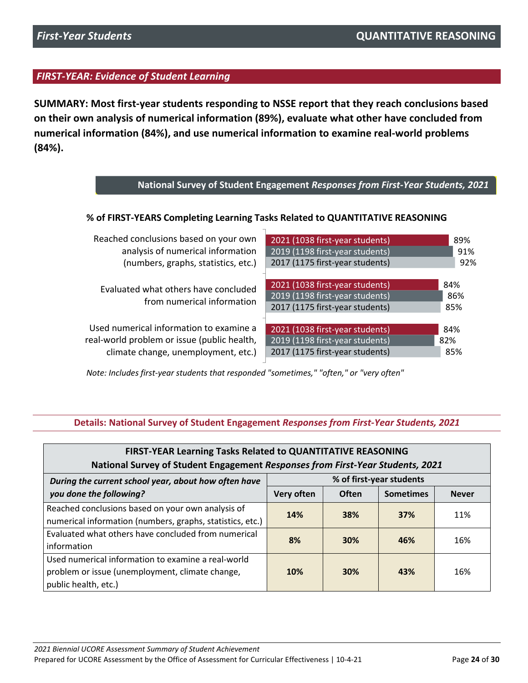**SUMMARY: Most first-year students responding to NSSE report that they reach conclusions based on their own analysis of numerical information (89%), evaluate what other have concluded from numerical information (84%), and use numerical information to examine real-world problems (84%).**

| National Survey of Student Engagement Responses from First-Year Students, 2021 |                                                                                                       |                   |  |  |
|--------------------------------------------------------------------------------|-------------------------------------------------------------------------------------------------------|-------------------|--|--|
| % of FIRST-YEARS Completing Learning Tasks Related to QUANTITATIVE REASONING   |                                                                                                       |                   |  |  |
| Reached conclusions based on your own                                          | 2021 (1038 first-year students)                                                                       | 89%               |  |  |
| analysis of numerical information                                              | 2019 (1198 first-year students)                                                                       | 91%               |  |  |
| (numbers, graphs, statistics, etc.)                                            | 2017 (1175 first-year students)                                                                       | 92%               |  |  |
| Evaluated what others have concluded<br>from numerical information             | 2021 (1038 first-year students)<br>2019 (1198 first-year students)<br>2017 (1175 first-year students) | 84%<br>86%<br>85% |  |  |
| Used numerical information to examine a                                        | 2021 (1038 first-year students)                                                                       | 84%               |  |  |
| real-world problem or issue (public health,                                    | 2019 (1198 first-year students)                                                                       | 82%               |  |  |
| climate change, unemployment, etc.)                                            | 2017 (1175 first-year students)                                                                       | 85%               |  |  |

0 0.2 0.4 0.6 0.8 1 *Note: Includes first-year students that responded "sometimes," "often," or "very often"*

### **Details: National Survey of Student Engagement** *Responses from First-Year Students, 2021*

| FIRST-YEAR Learning Tasks Related to QUANTITATIVE REASONING                                                                                                   |            |            |     |              |
|---------------------------------------------------------------------------------------------------------------------------------------------------------------|------------|------------|-----|--------------|
| National Survey of Student Engagement Responses from First-Year Students, 2021                                                                                |            |            |     |              |
| % of first-year students<br>During the current school year, about how often have<br>you done the following?<br><b>Often</b><br>Very often<br><b>Sometimes</b> |            |            |     |              |
|                                                                                                                                                               |            |            |     | <b>Never</b> |
| Reached conclusions based on your own analysis of                                                                                                             | 14%        | 38%        | 37% | 11%          |
| numerical information (numbers, graphs, statistics, etc.)                                                                                                     |            |            |     |              |
| Evaluated what others have concluded from numerical                                                                                                           | 8%         | <b>30%</b> | 46% | 16%          |
| information                                                                                                                                                   |            |            |     |              |
| Used numerical information to examine a real-world                                                                                                            |            |            |     |              |
| problem or issue (unemployment, climate change,                                                                                                               | <b>10%</b> | 30%        | 43% | 16%          |
| public health, etc.)                                                                                                                                          |            |            |     |              |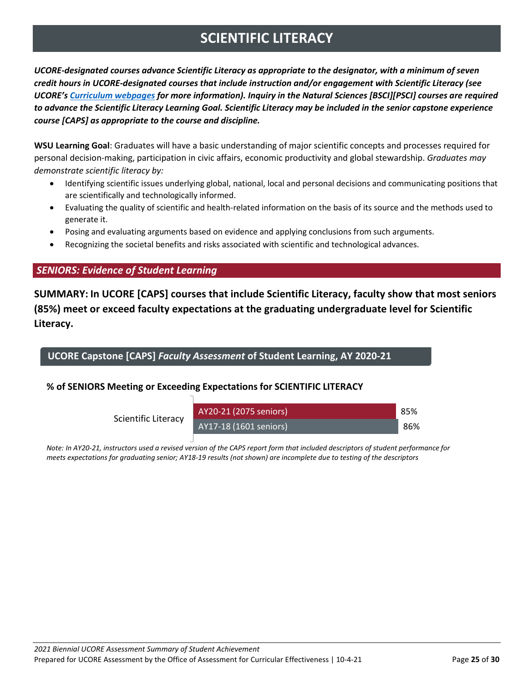# **SCIENTIFIC LITERACY**

<span id="page-24-0"></span>*UCORE-designated courses advance Scientific Literacy as appropriate to the designator, with a minimum of seven credit hours in UCORE-designated courses that include instruction and/or engagement with Scientific Literacy (see UCORE's [Curriculum webpages](https://ucore.wsu.edu/faculty/the-ucore-curriculum/) for more information). Inquiry in the Natural Sciences [BSCI][PSCI] courses are required to advance the Scientific Literacy Learning Goal. Scientific Literacy may be included in the senior capstone experience course [CAPS] as appropriate to the course and discipline.*

**WSU Learning Goal**: Graduates will have a basic understanding of major scientific concepts and processes required for personal decision-making, participation in civic affairs, economic productivity and global stewardship. *Graduates may demonstrate scientific literacy by:*

- Identifying scientific issues underlying global, national, local and personal decisions and communicating positions that are scientifically and technologically informed.
- Evaluating the quality of scientific and health-related information on the basis of its source and the methods used to generate it.
- Posing and evaluating arguments based on evidence and applying conclusions from such arguments.
- Recognizing the societal benefits and risks associated with scientific and technological advances.

### *SENIORS: Evidence of Student Learning*

**SUMMARY: In UCORE [CAPS] courses that include Scientific Literacy, faculty show that most seniors (85%) meet or exceed faculty expectations at the graduating undergraduate level for Scientific Literacy.** 

**UCORE Capstone [CAPS]** *Faculty Assessment* **of Student Learning, AY 2020-21**

### **% of SENIORS Meeting or Exceeding Expectations for SCIENTIFIC LITERACY**

٦

Scientific Literacy

| AY20-21 (2075 seniors)  | 85% |
|-------------------------|-----|
| $AY17-18(1601$ seniors) | 86% |

Note: In AY20-21, instructors used a revised version of the CAPS report form that included descriptors of student performance for *meets expectations for graduating senior; AY18-19 results (not shown) are incomplete due to testing of the descriptors*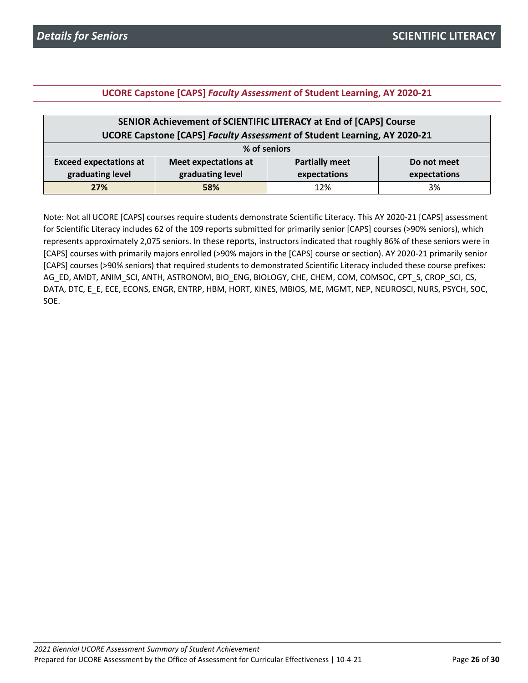### **UCORE Capstone [CAPS]** *Faculty Assessment* **of Student Learning, AY 2020-21**

| SENIOR Achievement of SCIENTIFIC LITERACY at End of [CAPS] Course                                    |     |     |    |  |
|------------------------------------------------------------------------------------------------------|-----|-----|----|--|
| UCORE Capstone [CAPS] Faculty Assessment of Student Learning, AY 2020-21                             |     |     |    |  |
| % of seniors                                                                                         |     |     |    |  |
| <b>Exceed expectations at</b><br><b>Partially meet</b><br><b>Meet expectations at</b><br>Do not meet |     |     |    |  |
| graduating level<br>graduating level<br>expectations<br>expectations                                 |     |     |    |  |
| 27%                                                                                                  | 58% | 12% | 3% |  |

Note: Not all UCORE [CAPS] courses require students demonstrate Scientific Literacy. This AY 2020-21 [CAPS] assessment for Scientific Literacy includes 62 of the 109 reports submitted for primarily senior [CAPS] courses (>90% seniors), which represents approximately 2,075 seniors. In these reports, instructors indicated that roughly 86% of these seniors were in [CAPS] courses with primarily majors enrolled (>90% majors in the [CAPS] course or section). AY 2020-21 primarily senior [CAPS] courses (>90% seniors) that required students to demonstrated Scientific Literacy included these course prefixes: AG\_ED, AMDT, ANIM\_SCI, ANTH, ASTRONOM, BIO\_ENG, BIOLOGY, CHE, CHEM, COM, COMSOC, CPT\_S, CROP\_SCI, CS, DATA, DTC, E\_E, ECE, ECONS, ENGR, ENTRP, HBM, HORT, KINES, MBIOS, ME, MGMT, NEP, NEUROSCI, NURS, PSYCH, SOC, SOE.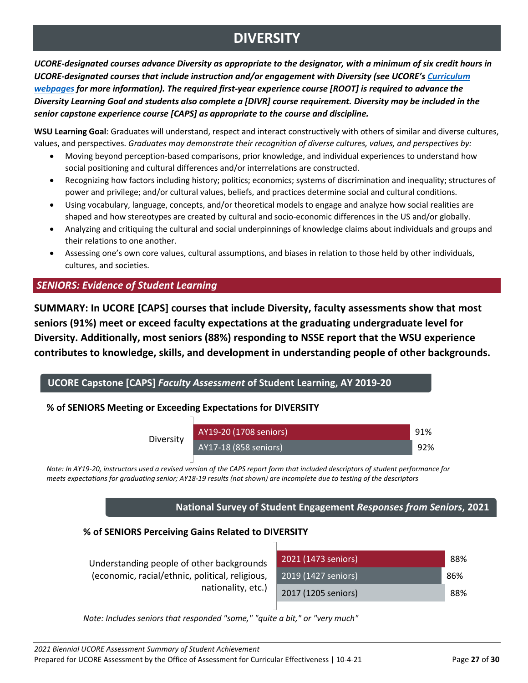# **DIVERSITY**

<span id="page-26-0"></span>*UCORE-designated courses advance Diversity as appropriate to the designator, with a minimum of six credit hours in UCORE-designated courses that include instruction and/or engagement with Diversity (see UCORE'[s Curriculum](https://ucore.wsu.edu/faculty/the-ucore-curriculum/)  [webpages](https://ucore.wsu.edu/faculty/the-ucore-curriculum/) for more information). The required first-year experience course [ROOT] is required to advance the Diversity Learning Goal and students also complete a [DIVR] course requirement. Diversity may be included in the senior capstone experience course [CAPS] as appropriate to the course and discipline.*

**WSU Learning Goal**: Graduates will understand, respect and interact constructively with others of similar and diverse cultures, values, and perspectives. *Graduates may demonstrate their recognition of diverse cultures, values, and perspectives by:*

- Moving beyond perception-based comparisons, prior knowledge, and individual experiences to understand how social positioning and cultural differences and/or interrelations are constructed.
- Recognizing how factors including history; politics; economics; systems of discrimination and inequality; structures of power and privilege; and/or cultural values, beliefs, and practices determine social and cultural conditions.
- Using vocabulary, language, concepts, and/or theoretical models to engage and analyze how social realities are shaped and how stereotypes are created by cultural and socio-economic differences in the US and/or globally.
- Analyzing and critiquing the cultural and social underpinnings of knowledge claims about individuals and groups and their relations to one another.
- Assessing one's own core values, cultural assumptions, and biases in relation to those held by other individuals, cultures, and societies.

# *SENIORS: Evidence of Student Learning*

**SUMMARY: In UCORE [CAPS] courses that include Diversity, faculty assessments show that most seniors (91%) meet or exceed faculty expectations at the graduating undergraduate level for Diversity. Additionally, most seniors (88%) responding to NSSE report that the WSU experience contributes to knowledge, skills, and development in understanding people of other backgrounds.** 

# **UCORE Capstone [CAPS]** *Faculty Assessment* **of Student Learning, AY 2019-20**

# **% of SENIORS Meeting or Exceeding Expectations for DIVERSITY**



Note: In AY19-20, instructors used a revised version of the CAPS report form that included descriptors of student performance for *meets expectations for graduating senior; AY18-19 results (not shown) are incomplete due to testing of the descriptors*

# **National Survey of Student Engagement** *Responses from Seniors***, 2021**

### **% of SENIORS Perceiving Gains Related to DIVERSITY**

| Understanding people of other backgrounds       | 2021 (1473 seniors) | 88% |
|-------------------------------------------------|---------------------|-----|
| (economic, racial/ethnic, political, religious, | 2019 (1427 seniors) | 86% |
| nationality, etc.)                              | 2017 (1205 seniors) | 88% |

0 0.2 0.4 0.6 0.8 1 *Note: Includes seniors that responded "some," "quite a bit," or "very much"*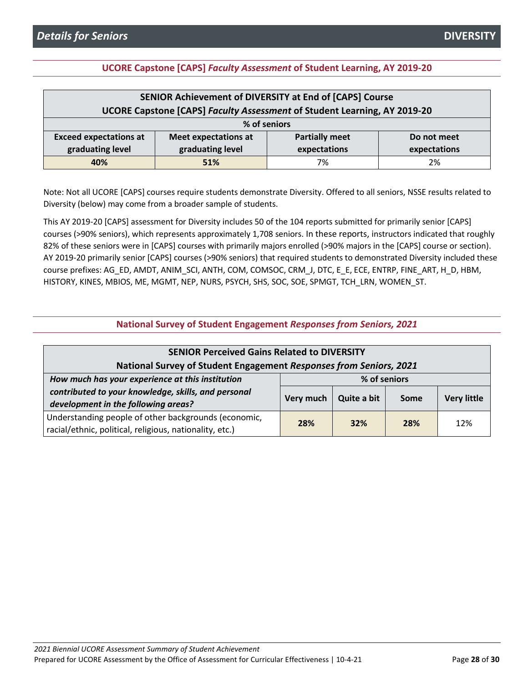### **UCORE Capstone [CAPS]** *Faculty Assessment* **of Student Learning, AY 2019-20**

| SENIOR Achievement of DIVERSITY at End of [CAPS] Course                                       |     |    |    |  |
|-----------------------------------------------------------------------------------------------|-----|----|----|--|
| UCORE Capstone [CAPS] Faculty Assessment of Student Learning, AY 2019-20                      |     |    |    |  |
| % of seniors                                                                                  |     |    |    |  |
| <b>Exceed expectations at</b><br><b>Partially meet</b><br>Meet expectations at<br>Do not meet |     |    |    |  |
| graduating level<br>graduating level<br>expectations<br>expectations                          |     |    |    |  |
| 40%                                                                                           | 51% | 7% | 2% |  |

Note: Not all UCORE [CAPS] courses require students demonstrate Diversity. Offered to all seniors, NSSE results related to Diversity (below) may come from a broader sample of students.

This AY 2019-20 [CAPS] assessment for Diversity includes 50 of the 104 reports submitted for primarily senior [CAPS] courses (>90% seniors), which represents approximately 1,708 seniors. In these reports, instructors indicated that roughly 82% of these seniors were in [CAPS] courses with primarily majors enrolled (>90% majors in the [CAPS] course or section). AY 2019-20 primarily senior [CAPS] courses (>90% seniors) that required students to demonstrated Diversity included these course prefixes: AG\_ED, AMDT, ANIM\_SCI, ANTH, COM, COMSOC, CRM\_J, DTC, E\_E, ECE, ENTRP, FINE\_ART, H\_D, HBM, HISTORY, KINES, MBIOS, ME, MGMT, NEP, NURS, PSYCH, SHS, SOC, SOE, SPMGT, TCH\_LRN, WOMEN\_ST.

| <b>National Survey of Student Engagement Responses from Seniors, 2021</b> |                                                                  |             |      |                    |
|---------------------------------------------------------------------------|------------------------------------------------------------------|-------------|------|--------------------|
| <b>SENIOR Perceived Gains Related to DIVERSITY</b>                        |                                                                  |             |      |                    |
| National Survey of Student Engagement Responses from Seniors, 2021        |                                                                  |             |      |                    |
|                                                                           | How much has your experience at this institution<br>% of seniors |             |      |                    |
| contributed to your knowledge, skills, and personal                       | Very much                                                        | Quite a bit | Some | <b>Very little</b> |
| development in the following areas?                                       |                                                                  |             |      |                    |
| Understanding people of other backgrounds (economic,                      | 28%                                                              | 32%         | 28%  | 12%                |
| racial/ethnic, political, religious, nationality, etc.)                   |                                                                  |             |      |                    |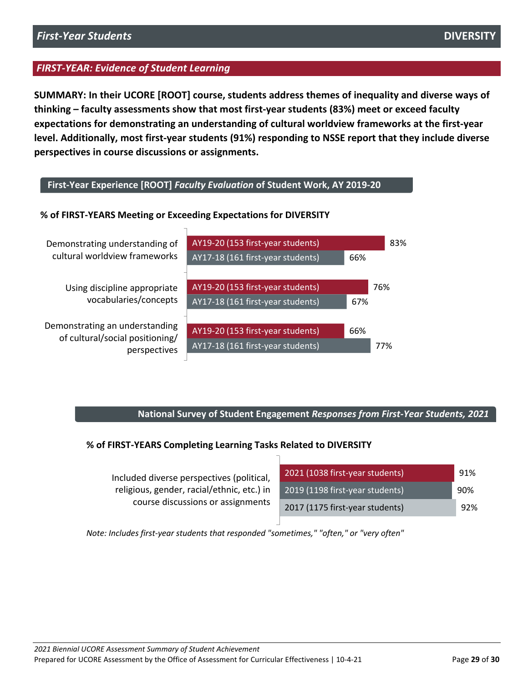**SUMMARY: In their UCORE [ROOT] course, students address themes of inequality and diverse ways of thinking – faculty assessments show that most first-year students (83%) meet or exceed faculty expectations for demonstrating an understanding of cultural worldview frameworks at the first-year level. Additionally, most first-year students (91%) responding to NSSE report that they include diverse perspectives in course discussions or assignments.** 

### **First-Year Experience [ROOT]** *Faculty Evaluation* **of Student Work, AY 2019-20**

### **% of FIRST-YEARS Meeting or Exceeding Expectations for DIVERSITY**



### **National Survey of Student Engagement** *Responses from First-Year Students, 2021*

### **% of FIRST-YEARS Completing Learning Tasks Related to DIVERSITY**

| Included diverse perspectives (political,  | 2021 (1038 first-year students) | 91% |
|--------------------------------------------|---------------------------------|-----|
| religious, gender, racial/ethnic, etc.) in | 2019 (1198 first-year students) | 90% |
| course discussions or assignments          | 2017 (1175 first-year students) | 92% |

0 0.2 0.4 0.6 0.8 1 *Note: Includes first-year students that responded "sometimes," "often," or "very often"*